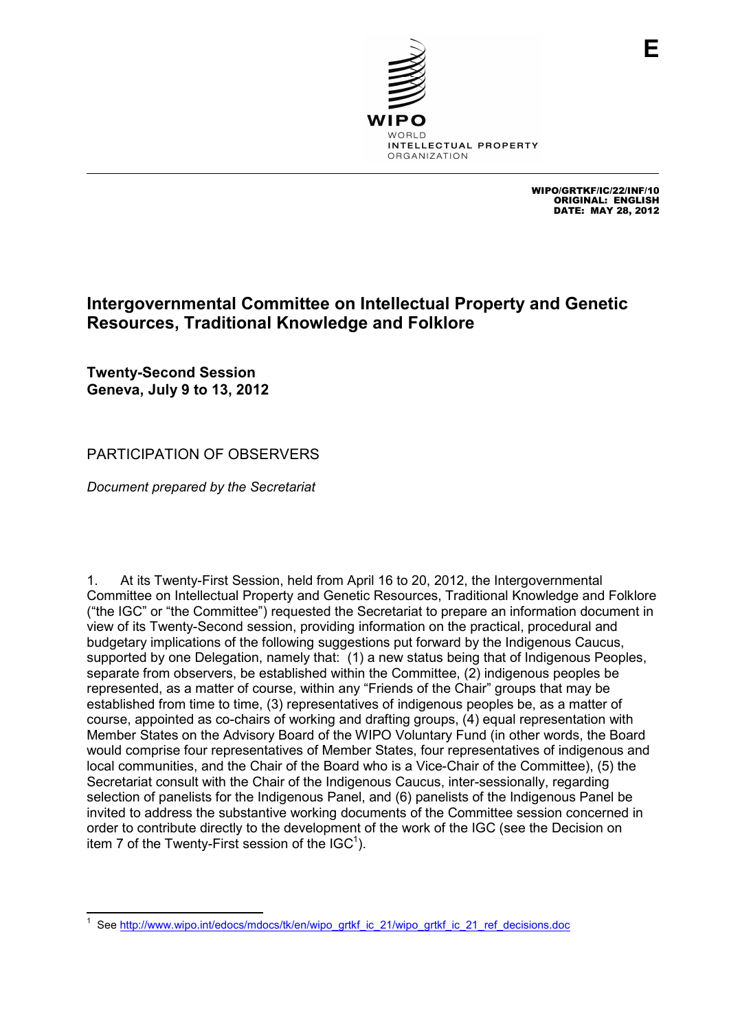

WIPO/GRTKF/IC/22/INF/10 ORIGINAL: ENGLISH DATE: MAY 28, 2012

**E**

## **Intergovernmental Committee on Intellectual Property and Genetic Resources, Traditional Knowledge and Folklore**

**Twenty-Second Session Geneva, July 9 to 13, 2012**

## PARTICIPATION OF OBSERVERS

*Document prepared by the Secretariat* 

1. At its Twenty-First Session, held from April 16 to 20, 2012, the Intergovernmental Committee on Intellectual Property and Genetic Resources, Traditional Knowledge and Folklore ("the IGC" or "the Committee") requested the Secretariat to prepare an information document in view of its Twenty-Second session, providing information on the practical, procedural and budgetary implications of the following suggestions put forward by the Indigenous Caucus, supported by one Delegation, namely that: (1) a new status being that of Indigenous Peoples, separate from observers, be established within the Committee, (2) indigenous peoples be represented, as a matter of course, within any "Friends of the Chair" groups that may be established from time to time, (3) representatives of indigenous peoples be, as a matter of course, appointed as co-chairs of working and drafting groups, (4) equal representation with Member States on the Advisory Board of the WIPO Voluntary Fund (in other words, the Board would comprise four representatives of Member States, four representatives of indigenous and local communities, and the Chair of the Board who is a Vice-Chair of the Committee), (5) the Secretariat consult with the Chair of the Indigenous Caucus, inter-sessionally, regarding selection of panelists for the Indigenous Panel, and (6) panelists of the Indigenous Panel be invited to address the substantive working documents of the Committee session concerned in order to contribute directly to the development of the work of the IGC (see the Decision on item 7 of the Twenty-First session of the  $IGC<sup>1</sup>$ ).

 $\overline{a}$ 1 See http://www.wipo.int/edocs/mdocs/tk/en/wipo\_grtkf\_ic\_21/wipo\_grtkf\_ic\_21\_ref\_decisions.doc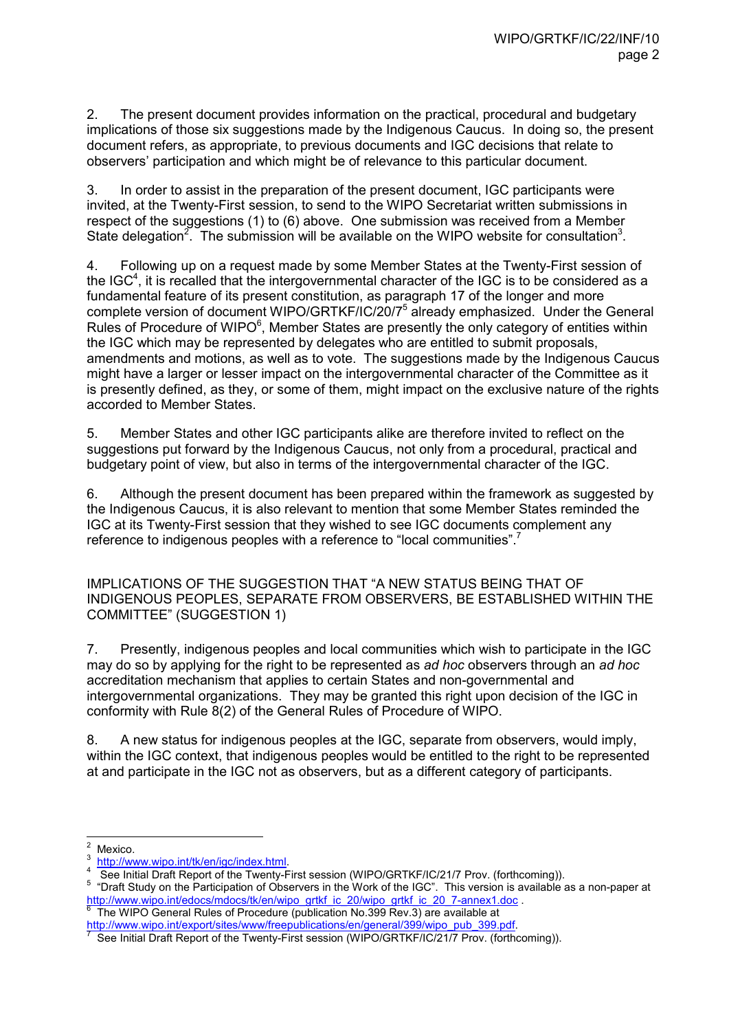2. The present document provides information on the practical, procedural and budgetary implications of those six suggestions made by the Indigenous Caucus. In doing so, the present document refers, as appropriate, to previous documents and IGC decisions that relate to observers' participation and which might be of relevance to this particular document.

3. In order to assist in the preparation of the present document, IGC participants were invited, at the Twenty-First session, to send to the WIPO Secretariat written submissions in respect of the suggestions (1) to (6) above. One submission was received from a Member State delegation<sup>2</sup>. The submission will be available on the WIPO website for consultation<sup>3</sup>.

4. Following up on a request made by some Member States at the Twenty-First session of the IGC<sup>4</sup>, it is recalled that the intergovernmental character of the IGC is to be considered as a fundamental feature of its present constitution, as paragraph 17 of the longer and more complete version of document WIPO/GRTKF/IC/20/7<sup>5</sup> already emphasized. Under the General Rules of Procedure of WIPO $6$ , Member States are presently the only category of entities within the IGC which may be represented by delegates who are entitled to submit proposals, amendments and motions, as well as to vote. The suggestions made by the Indigenous Caucus might have a larger or lesser impact on the intergovernmental character of the Committee as it is presently defined, as they, or some of them, might impact on the exclusive nature of the rights accorded to Member States.

5. Member States and other IGC participants alike are therefore invited to reflect on the suggestions put forward by the Indigenous Caucus, not only from a procedural, practical and budgetary point of view, but also in terms of the intergovernmental character of the IGC.

6. Although the present document has been prepared within the framework as suggested by the Indigenous Caucus, it is also relevant to mention that some Member States reminded the IGC at its Twenty-First session that they wished to see IGC documents complement any reference to indigenous peoples with a reference to "local communities".<sup>7</sup>

IMPLICATIONS OF THE SUGGESTION THAT "A NEW STATUS BEING THAT OF INDIGENOUS PEOPLES, SEPARATE FROM OBSERVERS, BE ESTABLISHED WITHIN THE COMMITTEE" (SUGGESTION 1)

7. Presently, indigenous peoples and local communities which wish to participate in the IGC may do so by applying for the right to be represented as *ad hoc* observers through an *ad hoc* accreditation mechanism that applies to certain States and non-governmental and intergovernmental organizations. They may be granted this right upon decision of the IGC in conformity with Rule 8(2) of the General Rules of Procedure of WIPO.

8. A new status for indigenous peoples at the IGC, separate from observers, would imply, within the IGC context, that indigenous peoples would be entitled to the right to be represented at and participate in the IGC not as observers, but as a different category of participants.

 The WIPO General Rules of Procedure (publication No.399 Rev.3) are available at http://www.wipo.int/export/sites/www/freepublications/en/general/399/wipo\_pub\_399.pdf.

 $\frac{1}{2}$ Mexico.

<sup>3</sup> http://www.wipo.int/tk/en/igc/index.html.

<sup>4</sup> See Initial Draft Report of the Twenty-First session (WIPO/GRTKF/IC/21/7 Prov. (forthcoming)).

<sup>&</sup>lt;sup>5</sup> "Draft Study on the Participation of Observers in the Work of the IGC". This version is available as a non-paper at http://www.wipo.int/edocs/mdocs/tk/en/wipo\_grtkf\_ic\_20/wipo\_grtkf\_ic\_20\_7-annex1.doc .<br><sup>6</sup> The WIPO Ceneral Bulge of Presedure (publication No.200 Boy 2) are available at

<sup>7</sup> See Initial Draft Report of the Twenty-First session (WIPO/GRTKF/IC/21/7 Prov. (forthcoming)).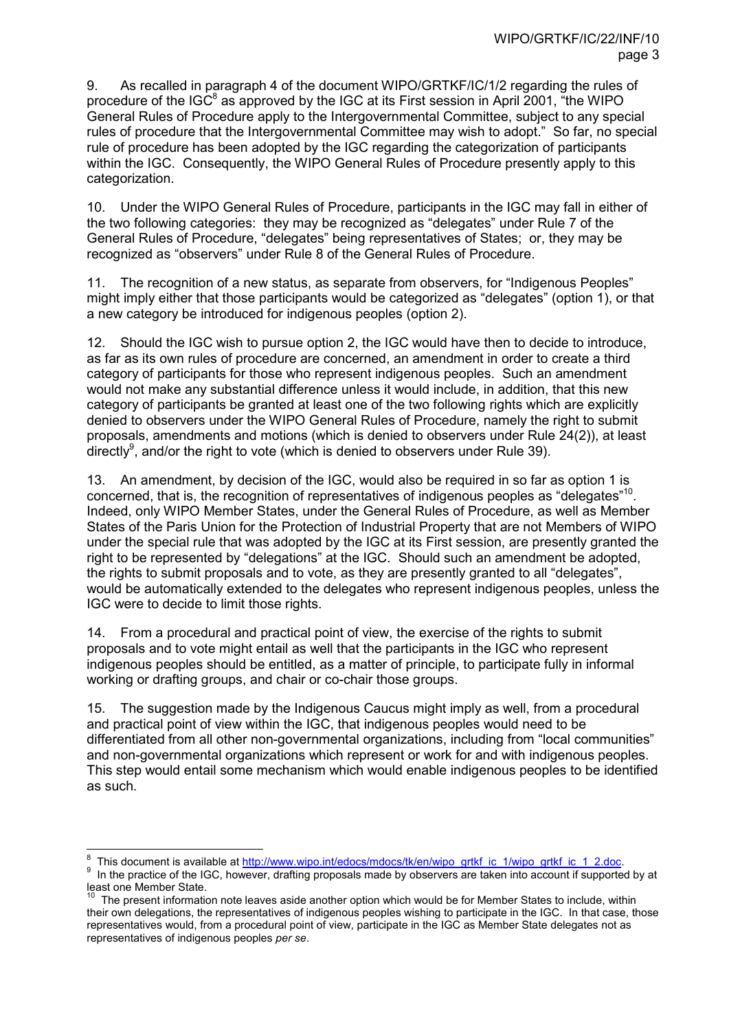9. As recalled in paragraph 4 of the document WIPO/GRTKF/IC/1/2 regarding the rules of procedure of the IGC<sup>8</sup> as approved by the IGC at its First session in April 2001,  $\mathrm{``the}$  WIPO General Rules of Procedure apply to the Intergovernmental Committee, subject to any special rules of procedure that the Intergovernmental Committee may wish to adopt." So far, no special rule of procedure has been adopted by the IGC regarding the categorization of participants within the IGC. Consequently, the WIPO General Rules of Procedure presently apply to this categorization.

10. Under the WIPO General Rules of Procedure, participants in the IGC may fall in either of the two following categories: they may be recognized as "delegates" under Rule 7 of the General Rules of Procedure, "delegates" being representatives of States; or, they may be recognized as "observers" under Rule 8 of the General Rules of Procedure.

11. The recognition of a new status, as separate from observers, for "Indigenous Peoples" might imply either that those participants would be categorized as "delegates" (option 1), or that a new category be introduced for indigenous peoples (option 2).

12. Should the IGC wish to pursue option 2, the IGC would have then to decide to introduce, as far as its own rules of procedure are concerned, an amendment in order to create a third category of participants for those who represent indigenous peoples. Such an amendment would not make any substantial difference unless it would include, in addition, that this new category of participants be granted at least one of the two following rights which are explicitly denied to observers under the WIPO General Rules of Procedure, namely the right to submit proposals, amendments and motions (which is denied to observers under Rule 24(2)), at least directly<sup>9</sup>, and/or the right to vote (which is denied to observers under Rule 39).

13. An amendment, by decision of the IGC, would also be required in so far as option 1 is concerned, that is, the recognition of representatives of indigenous peoples as "delegates"<sup>10</sup>. Indeed, only WIPO Member States, under the General Rules of Procedure, as well as Member States of the Paris Union for the Protection of Industrial Property that are not Members of WIPO under the special rule that was adopted by the IGC at its First session, are presently granted the right to be represented by "delegations" at the IGC. Should such an amendment be adopted, the rights to submit proposals and to vote, as they are presently granted to all "delegates", would be automatically extended to the delegates who represent indigenous peoples, unless the IGC were to decide to limit those rights.

14. From a procedural and practical point of view, the exercise of the rights to submit proposals and to vote might entail as well that the participants in the IGC who represent indigenous peoples should be entitled, as a matter of principle, to participate fully in informal working or drafting groups, and chair or co-chair those groups.

15. The suggestion made by the Indigenous Caucus might imply as well, from a procedural and practical point of view within the IGC, that indigenous peoples would need to be differentiated from all other non-governmental organizations, including from "local communities" and non-governmental organizations which represent or work for and with indigenous peoples. This step would entail some mechanism which would enable indigenous peoples to be identified as such.

 $\overline{a}$ 

<sup>8</sup> This document is available at http://www.wipo.int/edocs/mdocs/tk/en/wipo\_grtkf\_ic\_1/wipo\_grtkf\_ic\_1\_2.doc.

<sup>9</sup> In the practice of the IGC, however, drafting proposals made by observers are taken into account if supported by at least one Member State.

The present information note leaves aside another option which would be for Member States to include, within their own delegations, the representatives of indigenous peoples wishing to participate in the IGC. In that case, those representatives would, from a procedural point of view, participate in the IGC as Member State delegates not as representatives of indigenous peoples *per se*.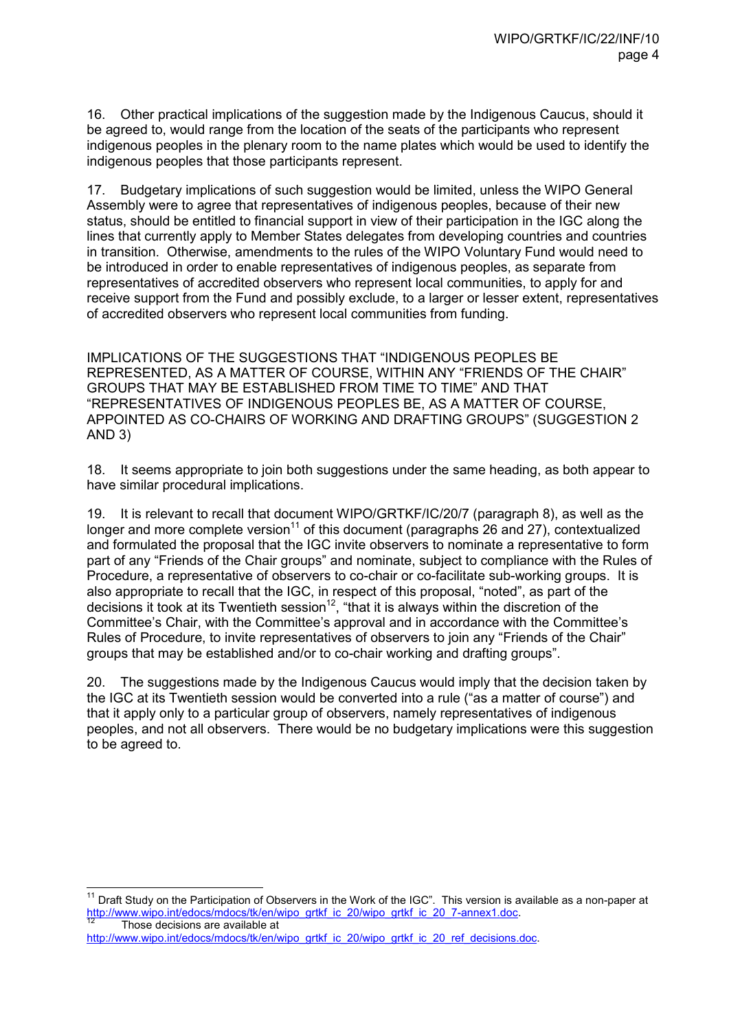16. Other practical implications of the suggestion made by the Indigenous Caucus, should it be agreed to, would range from the location of the seats of the participants who represent indigenous peoples in the plenary room to the name plates which would be used to identify the indigenous peoples that those participants represent.

17. Budgetary implications of such suggestion would be limited, unless the WIPO General Assembly were to agree that representatives of indigenous peoples, because of their new status, should be entitled to financial support in view of their participation in the IGC along the lines that currently apply to Member States delegates from developing countries and countries in transition. Otherwise, amendments to the rules of the WIPO Voluntary Fund would need to be introduced in order to enable representatives of indigenous peoples, as separate from representatives of accredited observers who represent local communities, to apply for and receive support from the Fund and possibly exclude, to a larger or lesser extent, representatives of accredited observers who represent local communities from funding.

IMPLICATIONS OF THE SUGGESTIONS THAT "INDIGENOUS PEOPLES BE REPRESENTED, AS A MATTER OF COURSE, WITHIN ANY "FRIENDS OF THE CHAIR" GROUPS THAT MAY BE ESTABLISHED FROM TIME TO TIME" AND THAT "REPRESENTATIVES OF INDIGENOUS PEOPLES BE, AS A MATTER OF COURSE, APPOINTED AS CO-CHAIRS OF WORKING AND DRAFTING GROUPS" (SUGGESTION 2 AND 3)

18. It seems appropriate to join both suggestions under the same heading, as both appear to have similar procedural implications.

19. It is relevant to recall that document WIPO/GRTKF/IC/20/7 (paragraph 8), as well as the longer and more complete version<sup>11</sup> of this document (paragraphs 26 and 27), contextualized and formulated the proposal that the IGC invite observers to nominate a representative to form part of any "Friends of the Chair groups" and nominate, subject to compliance with the Rules of Procedure, a representative of observers to co-chair or co-facilitate sub-working groups. It is also appropriate to recall that the IGC, in respect of this proposal, "noted", as part of the decisions it took at its Twentieth session<sup>12</sup>, "that it is always within the discretion of the Committee's Chair, with the Committee's approval and in accordance with the Committee's Rules of Procedure, to invite representatives of observers to join any "Friends of the Chair" groups that may be established and/or to co-chair working and drafting groups".

20. The suggestions made by the Indigenous Caucus would imply that the decision taken by the IGC at its Twentieth session would be converted into a rule ("as a matter of course") and that it apply only to a particular group of observers, namely representatives of indigenous peoples, and not all observers. There would be no budgetary implications were this suggestion to be agreed to.

 $\overline{a}$ <sup>11</sup> Draft Study on the Participation of Observers in the Work of the IGC". This version is available as a non-paper at http://www.wipo.int/edocs/mdocs/tk/en/wipo\_grtkf\_ic\_20/wipo\_grtkf\_ic\_20\_7-annex1.doc. Those decisions are available at

http://www.wipo.int/edocs/mdocs/tk/en/wipo\_grtkf\_ic\_20/wipo\_grtkf\_ic\_20\_ref\_decisions.doc.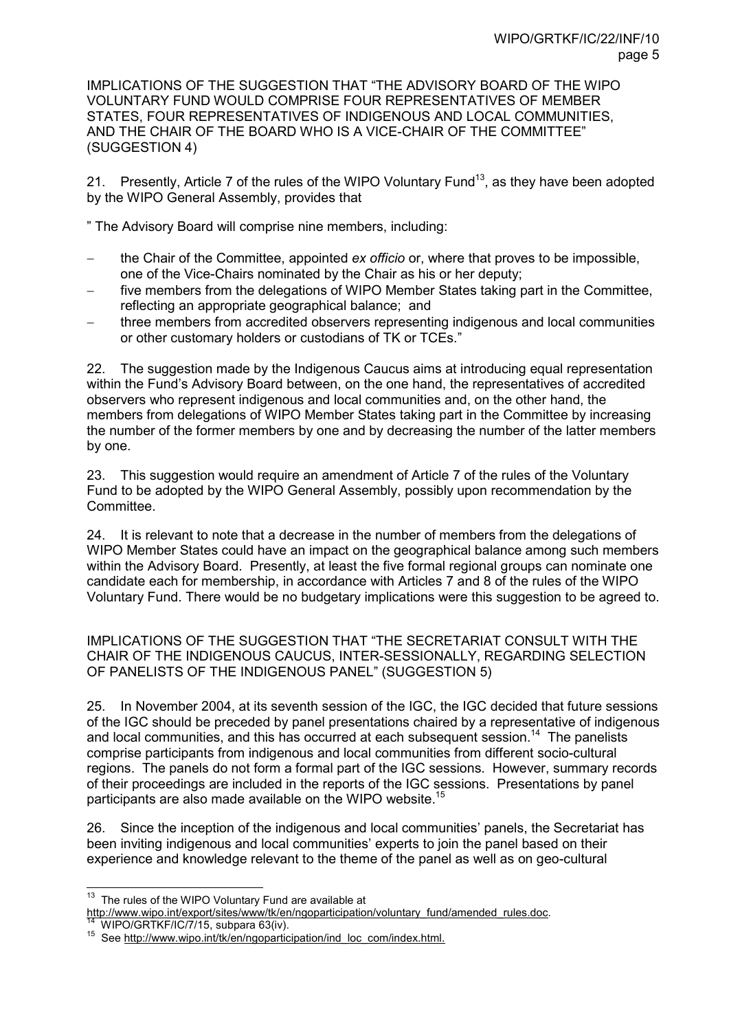IMPLICATIONS OF THE SUGGESTION THAT "THE ADVISORY BOARD OF THE WIPO VOLUNTARY FUND WOULD COMPRISE FOUR REPRESENTATIVES OF MEMBER STATES, FOUR REPRESENTATIVES OF INDIGENOUS AND LOCAL COMMUNITIES, AND THE CHAIR OF THE BOARD WHO IS A VICE-CHAIR OF THE COMMITTEE" (SUGGESTION 4)

21. Presently, Article 7 of the rules of the WIPO Voluntary Fund<sup>13</sup>, as they have been adopted by the WIPO General Assembly, provides that

" The Advisory Board will comprise nine members, including:

- − the Chair of the Committee, appointed *ex officio* or, where that proves to be impossible, one of the Vice-Chairs nominated by the Chair as his or her deputy;
- five members from the delegations of WIPO Member States taking part in the Committee, reflecting an appropriate geographical balance; and
- three members from accredited observers representing indigenous and local communities or other customary holders or custodians of TK or TCEs."

22. The suggestion made by the Indigenous Caucus aims at introducing equal representation within the Fund's Advisory Board between, on the one hand, the representatives of accredited observers who represent indigenous and local communities and, on the other hand, the members from delegations of WIPO Member States taking part in the Committee by increasing the number of the former members by one and by decreasing the number of the latter members by one.

23. This suggestion would require an amendment of Article 7 of the rules of the Voluntary Fund to be adopted by the WIPO General Assembly, possibly upon recommendation by the **Committee.** 

24. It is relevant to note that a decrease in the number of members from the delegations of WIPO Member States could have an impact on the geographical balance among such members within the Advisory Board. Presently, at least the five formal regional groups can nominate one candidate each for membership, in accordance with Articles 7 and 8 of the rules of the WIPO Voluntary Fund. There would be no budgetary implications were this suggestion to be agreed to.

IMPLICATIONS OF THE SUGGESTION THAT "THE SECRETARIAT CONSULT WITH THE CHAIR OF THE INDIGENOUS CAUCUS, INTER-SESSIONALLY, REGARDING SELECTION OF PANELISTS OF THE INDIGENOUS PANEL" (SUGGESTION 5)

25. In November 2004, at its seventh session of the IGC, the IGC decided that future sessions of the IGC should be preceded by panel presentations chaired by a representative of indigenous and local communities, and this has occurred at each subsequent session.<sup>14</sup> The panelists comprise participants from indigenous and local communities from different socio-cultural regions. The panels do not form a formal part of the IGC sessions. However, summary records of their proceedings are included in the reports of the IGC sessions. Presentations by panel participants are also made available on the WIPO website.<sup>15</sup>

26. Since the inception of the indigenous and local communities' panels, the Secretariat has been inviting indigenous and local communities' experts to join the panel based on their experience and knowledge relevant to the theme of the panel as well as on geo-cultural

 $\overline{a}$  $13$  The rules of the WIPO Voluntary Fund are available at http://www.wipo.int/export/sites/www/tk/en/ngoparticipation/voluntary\_fund/amended\_rules.doc.

WIPO/GRTKF/IC/7/15, subpara 63(iv).

<sup>15</sup> See http://www.wipo.int/tk/en/ngoparticipation/ind\_loc\_com/index.html.